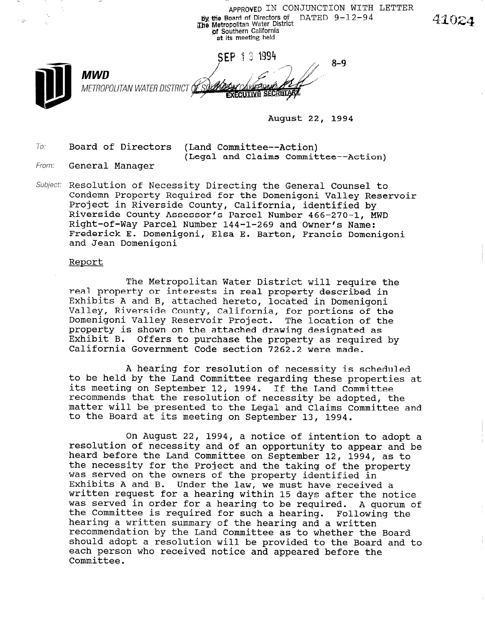APPROVED IN CONJUNCTION WITH LETTER **by the Board of Directors of DATED 9-12-94** 4102. of Southern California at its meeting held SEP 13 1994  $8 - 9$ MWD METROPOLITAN WATER DISTRICT OF **EXECUTIVE SECRETARY** 

August 22, 1994

To: Board of Directors (Land Committee--Action)

(Legal and Claims Committee--Action)

- From: **General Manager**
- Subject: Resolution of Necessity Directing the General Counsel to Condemn Property Required for the Domenigoni Valley Reservoir Project in Riverside County, California, identified by Riverside County Assessor's Parcel Number 466-270-1, MWD Right-of-Way Parcel Number 144-1-269 and Owner's Name: Frederick E. Domenigoni, Elsa E. Barton, Francis Domenigoni and Jean Domenigoni

#### Report

The Metropolitan Water District will require the real property or interests in real property described in Exhibits A and B, attached hereto, located in Domenigoni Valley, Riverside County, California, for portions of the Domenigoni Valley Reservoir Project. The location of the property is shown on the attached drawing designated as Exhibit B. Offers to purchase the property as required by California Government Code section 7262.2 were made.

A hearing for resolution of necessity is scheduled to be held by the Land Committee regarding these properties at co be herd by the Band Committee regarding these propert<br>its meeting on September 12, 1994. If the Land Committe recommends that the resolution of necessity be adopted, the recommends that the resolution of necessity be adopted, the matter will be presented to the Legal and Claims Committee and to the Board at its meeting on September 13, 1994.

On August 22, 1994, a notice of intention to adopt a on August 22, 1994, a hotice of intention to adopt a heard before the Land Committee on September 12, 1994, as to heard before the Land Committee on September 12, 1994, as to the necessity for the Project and the taking of the property was served on the owners of the property identified in Exhibits A and B. Under the law, we must have received a written request for a hearing within 15 days after the notice was served in order for a hearing to be req<br>the Committee is a hearing. Lue notice u. A quorum<br>Following the the Committee is required for such a hearing. Following the hearing a written summary of the hearing and a written recommendation by the Land Committee as to whether the Board should adopt a resolution will be provided to the Board and to each person who received notice and appeared before the Committee.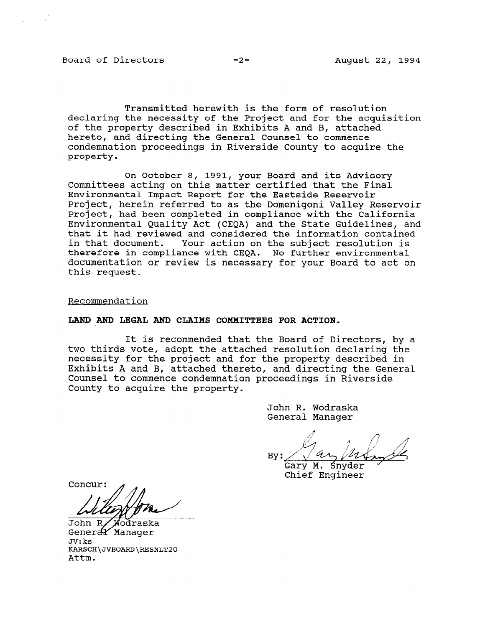Board of Directors -2- August 22, 1994

Transmitted herewith is the form of resolution declaring the necessity of the Project and for the acquisition of the property described in Exhibits A and B, attached hereto, and directing the General Counsel to commence condemnation proceedings in Riverside County to acquire the property.

On October 8, 1991, your Board and its Advisory Committees acting on this matter certified that the Final Environmental Impact Report for the Eastside Reservoir Project, herein referred to as the Domenigoni Valley Reservoir Project, had been completed in compliance with the California Environmental Quality Act (CEQA) and the State Guidelines, and that it had reviewed and considered the information contained in that document. Your action on the subject resolution is therefore in compliance with CEQA. No further environmental documentation or review is necessary for your Board to act on this request.

Recommendation

### LAND AND LEGAL AND CLAIMS COMMITTEES FOR ACTION.

It is recommended that the Board of Directors, by a two thirds vote, adopt the attached resolution declaring the necessity for the project and for the property described in Exhibits A and B, attached thereto, and directing the General Counsel to commence condemnation proceedings in Riverside County to acquire the property.

> John R. Wodraska General Manager

 $B = \sqrt{1 + \frac{1}{2}}$  $Bv:$ 

Gary M. Snyder Chief Engineer

Concur:

JONN R/ WOOL Gene<br>-- $\mathsf{UV}$ : KS $\mathsf{N}$ KARSO<br>...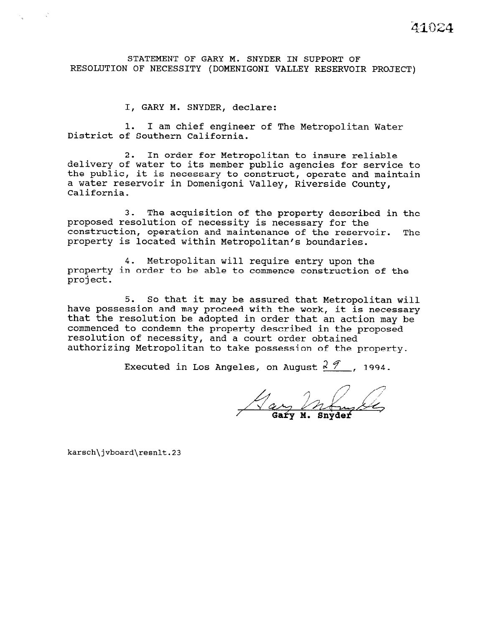# STATEMENT OF GARY M. SNYDER IN SUPPORT OF RESOLUTION OF NECESSITY (DOMENIGONI VALLEY RESERVOIR PROJECT)

I, GARY M. SNYDER, declare:

1. I am chief engineer of The Metropolitan Water District of Southern California.

2. In order for Metropolitan to insure reliable delivery of water to its member public agencies for service to the public, it is necessary to construct, operate and maintain a water reservoir in Domenigoni Valley, Riverside County, California.

3. The acquisition of the property described in the proposed resolution of necessity is necessary for the construction, operation and maintenance of the reservoir. The property is located within Metropolitan's boundaries.

4. Metropolitan will require entry upon the property in order to be able to commence construction of the project.

5. So that it may be assured that Metropolitan will have possession and may proceed with the work, it is necessary that the resolution be adopted in order that an action may be commenced to condemn the property described in the proposed resolution of necessity, and a court order obtained authorizing Metropolitan to take possession of the property.

Executed in Los Angeles, on August  $2\sqrt[3]{}$ , 1994.

Hay In

karsch\jvboard\resnlt.23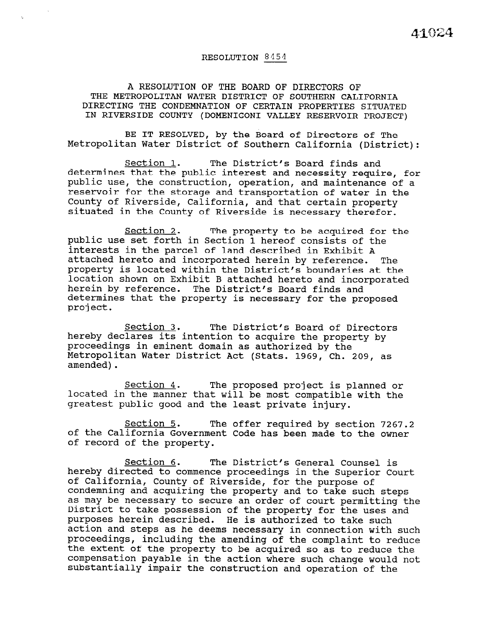## RESOLUTION 8454

# A RESOLUTION OF THE BOARD OF DIRECTORS OF THE METROPOLITAN WATER DISTRICT OF SOUTHERN CALIFORNIA DIRECTING THE CONDEMNATION OF CERTAIN PROPERTIES SITUATED IN RIVERSIDE COUNTY (DOMENIGONI VALLEY RESERVOIR PROJECT)

BE IT RESOLVED, by the Board of Directors of The Metropolitan Water District of Southern California (District):

Section 1. The District's Board finds and determines that the public interest and necessity require, for public use, the construction, operation, and maintenance of a reservoir for the storage and transportation of water in the County of Riverside, California, and that certain property situated in the County of Riverside is necessary therefor.

Section 2. The property to be acquired for the public use set forth in Section 1 hereof consists of the interests in the parcel of land described in Exhibit A attached hereto and incorporated herein by reference. The property is located within the District's boundaries at the location shown on Exhibit B attached hereto and incorporated herein by reference. The District's Board finds and determines that the property is necessary for the proposed project.

Section 3. The District's Board of Directors hereby declares its intention to acquire the property by proceedings in eminent domain as authorized by the Metropolitan Water District Act (Stats. 1969, Ch. 209, as amended).

Section 4. The proposed project is planned or located in the manner that will be most compatible with the greatest public good and the least private injury.

Section 5. The offer required by section 7267.2 of the California Government Code has been made to the owner of record of the property.

Section 6. The District's General Counsel is hereby directed to commence proceedings in the Superior Court of California, County of Riverside, for the purpose of of california, county of Riverside, for the purpose of condemning and acquiring the property and to take such steps as may be necessary to secure an order of court permitting the District to take possession of the property for the uses and purposes herein described. He is authorized to take such purposes nerein described. The is additorized to take such such such as  $\frac{1}{2}$ action and steps as he deems necessary in connection with such<br>proceedings, including the coerding of the complaint to reduce proceedings, including the amending of the complaint to reduc the extent of the property to be acquired so as to reduce the compensation payable in the action where such change would not substantially impair the construction and operation of the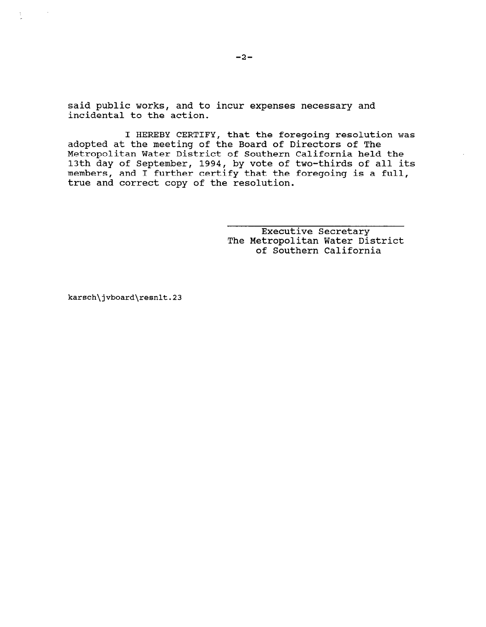said public works, and to incur expenses necessary and incidental to the action.

I HEREBY CERTIFY, that the foregoing resolution was adopted at the meeting of the Board of Directors of The Metropolitan Water District of Southern California held the 13th day of September, 1994, by vote of two-thirds of all it members, and I further certify that the foregoing is a full, true and correct copy of the resolution.

> Executive Secretary The Metropolitan Water District of Southern California

karsch\jvboard\resnlt.23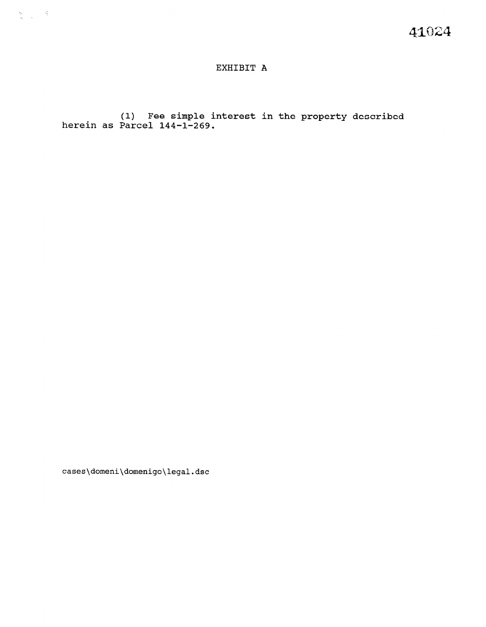# EXHIBIT A

 $(1)$  Fee simple interest in the property describ herein as Parcel 144-1-2

cases\domeni\domenigo\legal.dsc

 $\frac{\partial \mathbf{y}}{\partial \mathbf{y}} = \frac{\partial \mathbf{y}}{\partial \mathbf{y}} \mathbf{y}$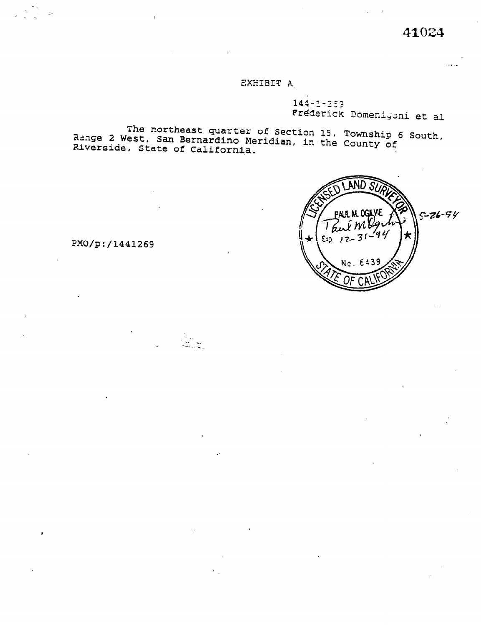# EXHIBIT A

 $144 - 1 - 259$ Frederick Domenigoni et al

The northeast quarter of Section 15, Township 6 South,<br>Range 2 West, San Bernardino Meridian, in the County of Riverside, State of California.



PMO/p:/1441269

 $\bar{z}$  .